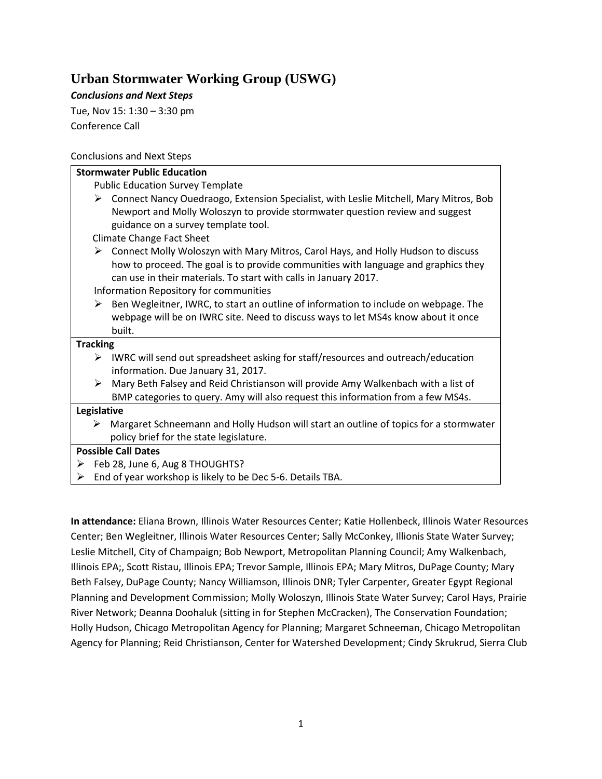## **Urban Stormwater Working Group (USWG)**

*Conclusions and Next Steps*

Tue, Nov 15: 1:30 – 3:30 pm Conference Call

## Conclusions and Next Steps

| <b>Stormwater Public Education</b>                                                                                                                                                                                                                                                                    |
|-------------------------------------------------------------------------------------------------------------------------------------------------------------------------------------------------------------------------------------------------------------------------------------------------------|
| <b>Public Education Survey Template</b>                                                                                                                                                                                                                                                               |
| Connect Nancy Ouedraogo, Extension Specialist, with Leslie Mitchell, Mary Mitros, Bob<br>➤<br>Newport and Molly Woloszyn to provide stormwater question review and suggest<br>guidance on a survey template tool.                                                                                     |
| <b>Climate Change Fact Sheet</b>                                                                                                                                                                                                                                                                      |
| $\triangleright$ Connect Molly Woloszyn with Mary Mitros, Carol Hays, and Holly Hudson to discuss<br>how to proceed. The goal is to provide communities with language and graphics they<br>can use in their materials. To start with calls in January 2017.<br>Information Repository for communities |
| Ben Wegleitner, IWRC, to start an outline of information to include on webpage. The<br>➤                                                                                                                                                                                                              |
| webpage will be on IWRC site. Need to discuss ways to let MS4s know about it once<br>built.                                                                                                                                                                                                           |
| <b>Tracking</b>                                                                                                                                                                                                                                                                                       |
| $\triangleright$ IWRC will send out spreadsheet asking for staff/resources and outreach/education<br>information. Due January 31, 2017.                                                                                                                                                               |
| Mary Beth Falsey and Reid Christianson will provide Amy Walkenbach with a list of<br>➤                                                                                                                                                                                                                |
| BMP categories to query. Amy will also request this information from a few MS4s.                                                                                                                                                                                                                      |
| Legislative                                                                                                                                                                                                                                                                                           |
| Margaret Schneemann and Holly Hudson will start an outline of topics for a stormwater<br>➤<br>policy brief for the state legislature.                                                                                                                                                                 |
| <b>Possible Call Dates</b>                                                                                                                                                                                                                                                                            |
| > Feb 28, June 6, Aug 8 THOUGHTS?                                                                                                                                                                                                                                                                     |

 $\triangleright$  End of year workshop is likely to be Dec 5-6. Details TBA.

**In attendance:** Eliana Brown, Illinois Water Resources Center; Katie Hollenbeck, Illinois Water Resources Center; Ben Wegleitner, Illinois Water Resources Center; Sally McConkey, Illionis State Water Survey; Leslie Mitchell, City of Champaign; Bob Newport, Metropolitan Planning Council; Amy Walkenbach, Illinois EPA;, Scott Ristau, Illinois EPA; Trevor Sample, Illinois EPA; Mary Mitros, DuPage County; Mary Beth Falsey, DuPage County; Nancy Williamson, Illinois DNR; Tyler Carpenter, Greater Egypt Regional Planning and Development Commission; Molly Woloszyn, Illinois State Water Survey; Carol Hays, Prairie River Network; Deanna Doohaluk (sitting in for Stephen McCracken), The Conservation Foundation; Holly Hudson, Chicago Metropolitan Agency for Planning; Margaret Schneeman, Chicago Metropolitan Agency for Planning; Reid Christianson, Center for Watershed Development; Cindy Skrukrud, Sierra Club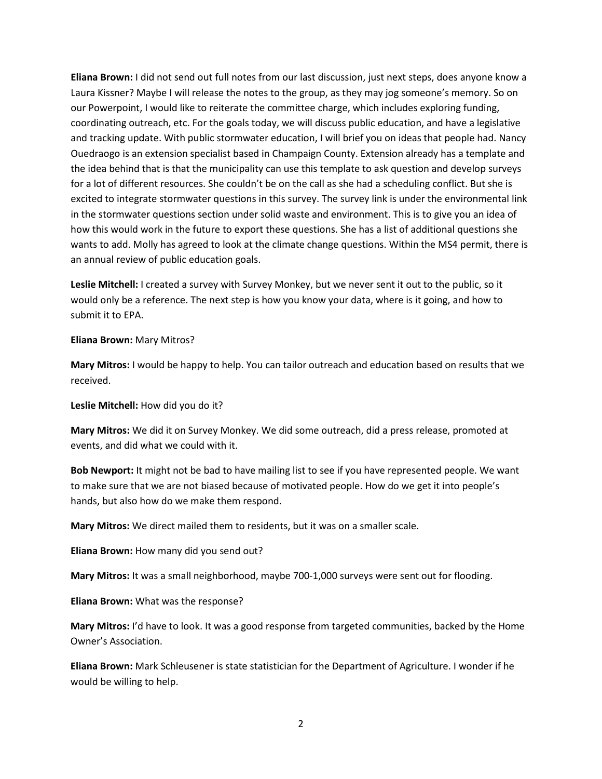**Eliana Brown:** I did not send out full notes from our last discussion, just next steps, does anyone know a Laura Kissner? Maybe I will release the notes to the group, as they may jog someone's memory. So on our Powerpoint, I would like to reiterate the committee charge, which includes exploring funding, coordinating outreach, etc. For the goals today, we will discuss public education, and have a legislative and tracking update. With public stormwater education, I will brief you on ideas that people had. Nancy Ouedraogo is an extension specialist based in Champaign County. Extension already has a template and the idea behind that is that the municipality can use this template to ask question and develop surveys for a lot of different resources. She couldn't be on the call as she had a scheduling conflict. But she is excited to integrate stormwater questions in this survey. The survey link is under the environmental link in the stormwater questions section under solid waste and environment. This is to give you an idea of how this would work in the future to export these questions. She has a list of additional questions she wants to add. Molly has agreed to look at the climate change questions. Within the MS4 permit, there is an annual review of public education goals.

**Leslie Mitchell:** I created a survey with Survey Monkey, but we never sent it out to the public, so it would only be a reference. The next step is how you know your data, where is it going, and how to submit it to EPA.

## **Eliana Brown:** Mary Mitros?

**Mary Mitros:** I would be happy to help. You can tailor outreach and education based on results that we received.

**Leslie Mitchell:** How did you do it?

**Mary Mitros:** We did it on Survey Monkey. We did some outreach, did a press release, promoted at events, and did what we could with it.

**Bob Newport:** It might not be bad to have mailing list to see if you have represented people. We want to make sure that we are not biased because of motivated people. How do we get it into people's hands, but also how do we make them respond.

**Mary Mitros:** We direct mailed them to residents, but it was on a smaller scale.

**Eliana Brown:** How many did you send out?

**Mary Mitros:** It was a small neighborhood, maybe 700-1,000 surveys were sent out for flooding.

**Eliana Brown:** What was the response?

**Mary Mitros:** I'd have to look. It was a good response from targeted communities, backed by the Home Owner's Association.

**Eliana Brown:** Mark Schleusener is state statistician for the Department of Agriculture. I wonder if he would be willing to help.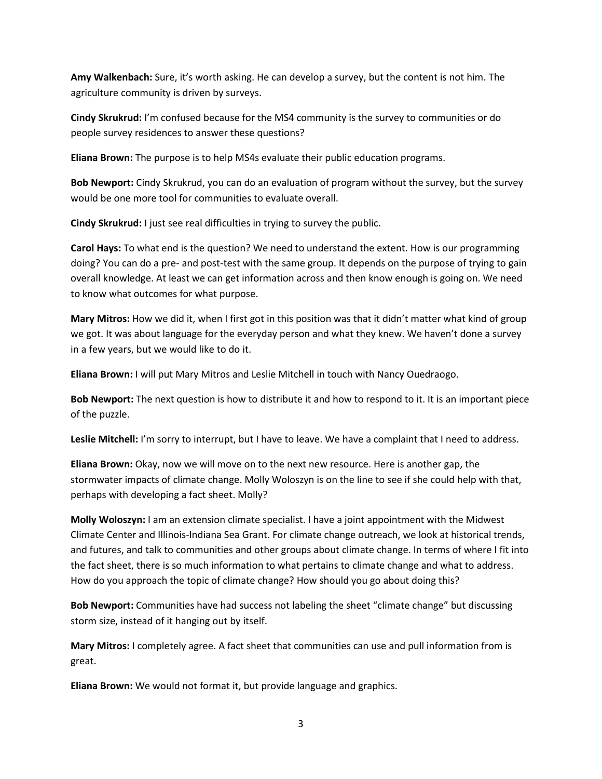**Amy Walkenbach:** Sure, it's worth asking. He can develop a survey, but the content is not him. The agriculture community is driven by surveys.

**Cindy Skrukrud:** I'm confused because for the MS4 community is the survey to communities or do people survey residences to answer these questions?

**Eliana Brown:** The purpose is to help MS4s evaluate their public education programs.

**Bob Newport:** Cindy Skrukrud, you can do an evaluation of program without the survey, but the survey would be one more tool for communities to evaluate overall.

**Cindy Skrukrud:** I just see real difficulties in trying to survey the public.

**Carol Hays:** To what end is the question? We need to understand the extent. How is our programming doing? You can do a pre- and post-test with the same group. It depends on the purpose of trying to gain overall knowledge. At least we can get information across and then know enough is going on. We need to know what outcomes for what purpose.

**Mary Mitros:** How we did it, when I first got in this position was that it didn't matter what kind of group we got. It was about language for the everyday person and what they knew. We haven't done a survey in a few years, but we would like to do it.

**Eliana Brown:** I will put Mary Mitros and Leslie Mitchell in touch with Nancy Ouedraogo.

**Bob Newport:** The next question is how to distribute it and how to respond to it. It is an important piece of the puzzle.

**Leslie Mitchell:** I'm sorry to interrupt, but I have to leave. We have a complaint that I need to address.

**Eliana Brown:** Okay, now we will move on to the next new resource. Here is another gap, the stormwater impacts of climate change. Molly Woloszyn is on the line to see if she could help with that, perhaps with developing a fact sheet. Molly?

**Molly Woloszyn:** I am an extension climate specialist. I have a joint appointment with the Midwest Climate Center and Illinois-Indiana Sea Grant. For climate change outreach, we look at historical trends, and futures, and talk to communities and other groups about climate change. In terms of where I fit into the fact sheet, there is so much information to what pertains to climate change and what to address. How do you approach the topic of climate change? How should you go about doing this?

**Bob Newport:** Communities have had success not labeling the sheet "climate change" but discussing storm size, instead of it hanging out by itself.

**Mary Mitros:** I completely agree. A fact sheet that communities can use and pull information from is great.

**Eliana Brown:** We would not format it, but provide language and graphics.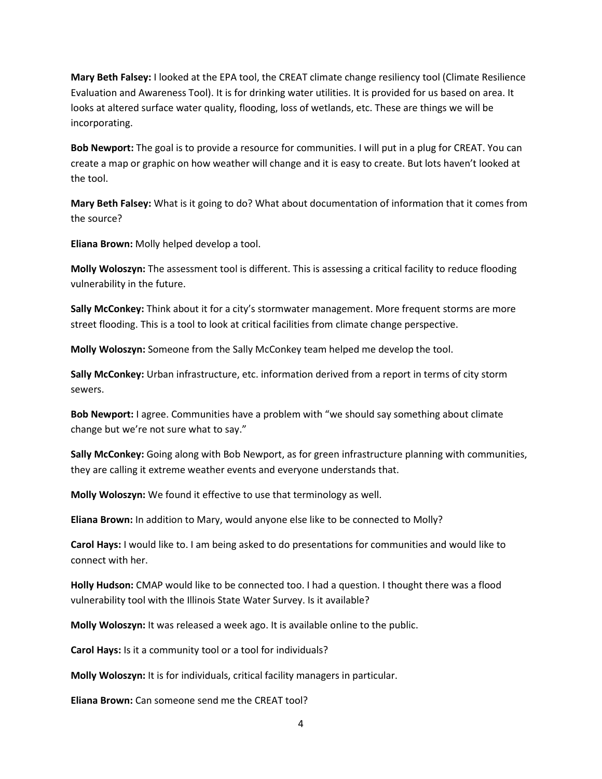**Mary Beth Falsey:** I looked at the EPA tool, the CREAT climate change resiliency tool (Climate Resilience Evaluation and Awareness Tool). It is for drinking water utilities. It is provided for us based on area. It looks at altered surface water quality, flooding, loss of wetlands, etc. These are things we will be incorporating.

**Bob Newport:** The goal is to provide a resource for communities. I will put in a plug for CREAT. You can create a map or graphic on how weather will change and it is easy to create. But lots haven't looked at the tool.

**Mary Beth Falsey:** What is it going to do? What about documentation of information that it comes from the source?

**Eliana Brown:** Molly helped develop a tool.

**Molly Woloszyn:** The assessment tool is different. This is assessing a critical facility to reduce flooding vulnerability in the future.

**Sally McConkey:** Think about it for a city's stormwater management. More frequent storms are more street flooding. This is a tool to look at critical facilities from climate change perspective.

**Molly Woloszyn:** Someone from the Sally McConkey team helped me develop the tool.

**Sally McConkey:** Urban infrastructure, etc. information derived from a report in terms of city storm sewers.

**Bob Newport:** I agree. Communities have a problem with "we should say something about climate change but we're not sure what to say."

**Sally McConkey:** Going along with Bob Newport, as for green infrastructure planning with communities, they are calling it extreme weather events and everyone understands that.

**Molly Woloszyn:** We found it effective to use that terminology as well.

**Eliana Brown:** In addition to Mary, would anyone else like to be connected to Molly?

**Carol Hays:** I would like to. I am being asked to do presentations for communities and would like to connect with her.

**Holly Hudson:** CMAP would like to be connected too. I had a question. I thought there was a flood vulnerability tool with the Illinois State Water Survey. Is it available?

**Molly Woloszyn:** It was released a week ago. It is available online to the public.

**Carol Hays:** Is it a community tool or a tool for individuals?

**Molly Woloszyn:** It is for individuals, critical facility managers in particular.

**Eliana Brown:** Can someone send me the CREAT tool?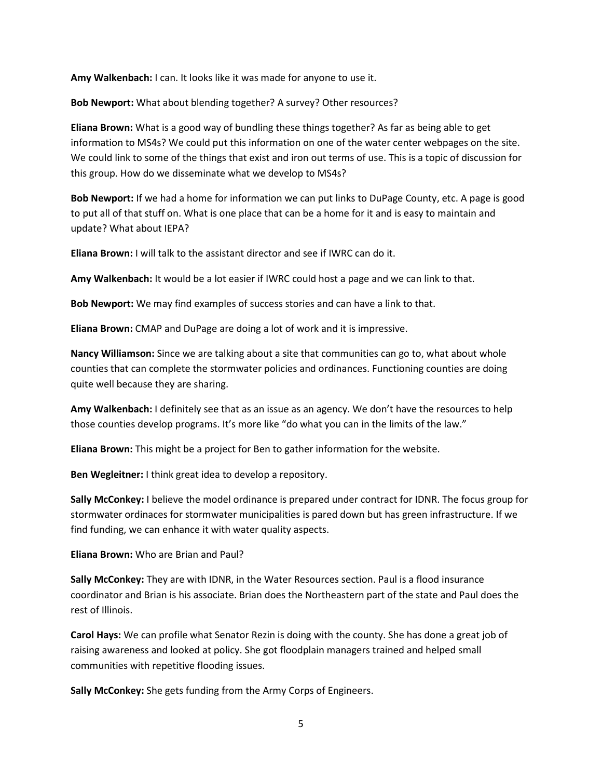**Amy Walkenbach:** I can. It looks like it was made for anyone to use it.

**Bob Newport:** What about blending together? A survey? Other resources?

**Eliana Brown:** What is a good way of bundling these things together? As far as being able to get information to MS4s? We could put this information on one of the water center webpages on the site. We could link to some of the things that exist and iron out terms of use. This is a topic of discussion for this group. How do we disseminate what we develop to MS4s?

**Bob Newport:** If we had a home for information we can put links to DuPage County, etc. A page is good to put all of that stuff on. What is one place that can be a home for it and is easy to maintain and update? What about IEPA?

**Eliana Brown:** I will talk to the assistant director and see if IWRC can do it.

**Amy Walkenbach:** It would be a lot easier if IWRC could host a page and we can link to that.

**Bob Newport:** We may find examples of success stories and can have a link to that.

**Eliana Brown:** CMAP and DuPage are doing a lot of work and it is impressive.

**Nancy Williamson:** Since we are talking about a site that communities can go to, what about whole counties that can complete the stormwater policies and ordinances. Functioning counties are doing quite well because they are sharing.

**Amy Walkenbach:** I definitely see that as an issue as an agency. We don't have the resources to help those counties develop programs. It's more like "do what you can in the limits of the law."

**Eliana Brown:** This might be a project for Ben to gather information for the website.

**Ben Wegleitner:** I think great idea to develop a repository.

**Sally McConkey:** I believe the model ordinance is prepared under contract for IDNR. The focus group for stormwater ordinaces for stormwater municipalities is pared down but has green infrastructure. If we find funding, we can enhance it with water quality aspects.

**Eliana Brown:** Who are Brian and Paul?

**Sally McConkey:** They are with IDNR, in the Water Resources section. Paul is a flood insurance coordinator and Brian is his associate. Brian does the Northeastern part of the state and Paul does the rest of Illinois.

**Carol Hays:** We can profile what Senator Rezin is doing with the county. She has done a great job of raising awareness and looked at policy. She got floodplain managers trained and helped small communities with repetitive flooding issues.

**Sally McConkey:** She gets funding from the Army Corps of Engineers.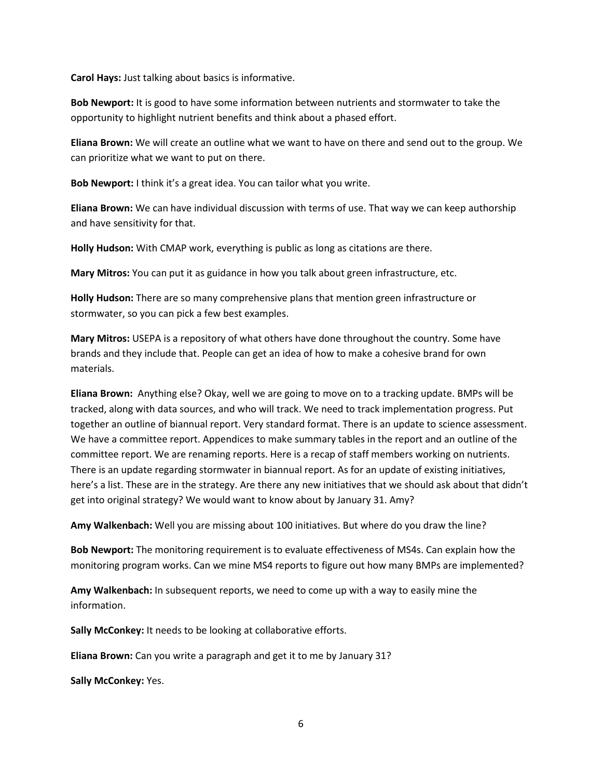**Carol Hays:** Just talking about basics is informative.

**Bob Newport:** It is good to have some information between nutrients and stormwater to take the opportunity to highlight nutrient benefits and think about a phased effort.

**Eliana Brown:** We will create an outline what we want to have on there and send out to the group. We can prioritize what we want to put on there.

**Bob Newport:** I think it's a great idea. You can tailor what you write.

**Eliana Brown:** We can have individual discussion with terms of use. That way we can keep authorship and have sensitivity for that.

**Holly Hudson:** With CMAP work, everything is public as long as citations are there.

**Mary Mitros:** You can put it as guidance in how you talk about green infrastructure, etc.

**Holly Hudson:** There are so many comprehensive plans that mention green infrastructure or stormwater, so you can pick a few best examples.

**Mary Mitros:** USEPA is a repository of what others have done throughout the country. Some have brands and they include that. People can get an idea of how to make a cohesive brand for own materials.

**Eliana Brown:** Anything else? Okay, well we are going to move on to a tracking update. BMPs will be tracked, along with data sources, and who will track. We need to track implementation progress. Put together an outline of biannual report. Very standard format. There is an update to science assessment. We have a committee report. Appendices to make summary tables in the report and an outline of the committee report. We are renaming reports. Here is a recap of staff members working on nutrients. There is an update regarding stormwater in biannual report. As for an update of existing initiatives, here's a list. These are in the strategy. Are there any new initiatives that we should ask about that didn't get into original strategy? We would want to know about by January 31. Amy?

**Amy Walkenbach:** Well you are missing about 100 initiatives. But where do you draw the line?

**Bob Newport:** The monitoring requirement is to evaluate effectiveness of MS4s. Can explain how the monitoring program works. Can we mine MS4 reports to figure out how many BMPs are implemented?

**Amy Walkenbach:** In subsequent reports, we need to come up with a way to easily mine the information.

**Sally McConkey:** It needs to be looking at collaborative efforts.

**Eliana Brown:** Can you write a paragraph and get it to me by January 31?

**Sally McConkey:** Yes.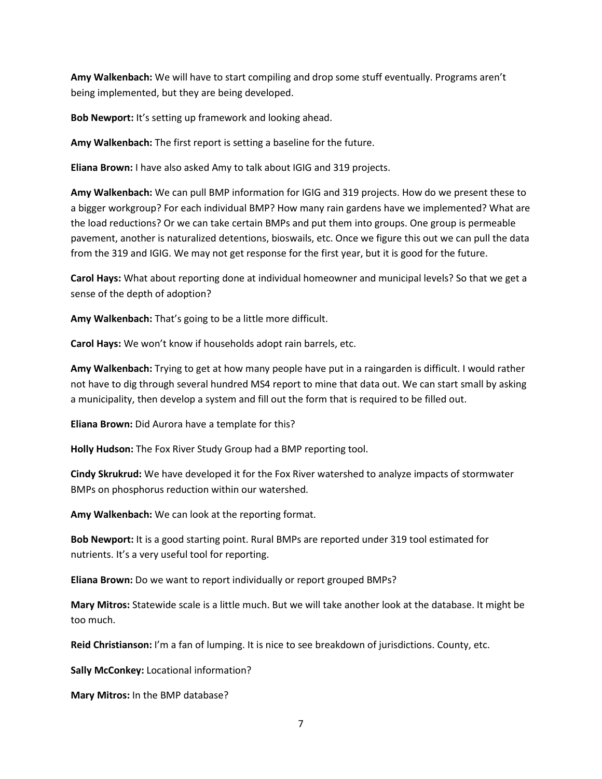**Amy Walkenbach:** We will have to start compiling and drop some stuff eventually. Programs aren't being implemented, but they are being developed.

**Bob Newport:** It's setting up framework and looking ahead.

**Amy Walkenbach:** The first report is setting a baseline for the future.

**Eliana Brown:** I have also asked Amy to talk about IGIG and 319 projects.

**Amy Walkenbach:** We can pull BMP information for IGIG and 319 projects. How do we present these to a bigger workgroup? For each individual BMP? How many rain gardens have we implemented? What are the load reductions? Or we can take certain BMPs and put them into groups. One group is permeable pavement, another is naturalized detentions, bioswails, etc. Once we figure this out we can pull the data from the 319 and IGIG. We may not get response for the first year, but it is good for the future.

**Carol Hays:** What about reporting done at individual homeowner and municipal levels? So that we get a sense of the depth of adoption?

**Amy Walkenbach:** That's going to be a little more difficult.

**Carol Hays:** We won't know if households adopt rain barrels, etc.

**Amy Walkenbach:** Trying to get at how many people have put in a raingarden is difficult. I would rather not have to dig through several hundred MS4 report to mine that data out. We can start small by asking a municipality, then develop a system and fill out the form that is required to be filled out.

**Eliana Brown:** Did Aurora have a template for this?

**Holly Hudson:** The Fox River Study Group had a BMP reporting tool.

**Cindy Skrukrud:** We have developed it for the Fox River watershed to analyze impacts of stormwater BMPs on phosphorus reduction within our watershed.

**Amy Walkenbach:** We can look at the reporting format.

**Bob Newport:** It is a good starting point. Rural BMPs are reported under 319 tool estimated for nutrients. It's a very useful tool for reporting.

**Eliana Brown:** Do we want to report individually or report grouped BMPs?

**Mary Mitros:** Statewide scale is a little much. But we will take another look at the database. It might be too much.

**Reid Christianson:** I'm a fan of lumping. It is nice to see breakdown of jurisdictions. County, etc.

**Sally McConkey:** Locational information?

**Mary Mitros:** In the BMP database?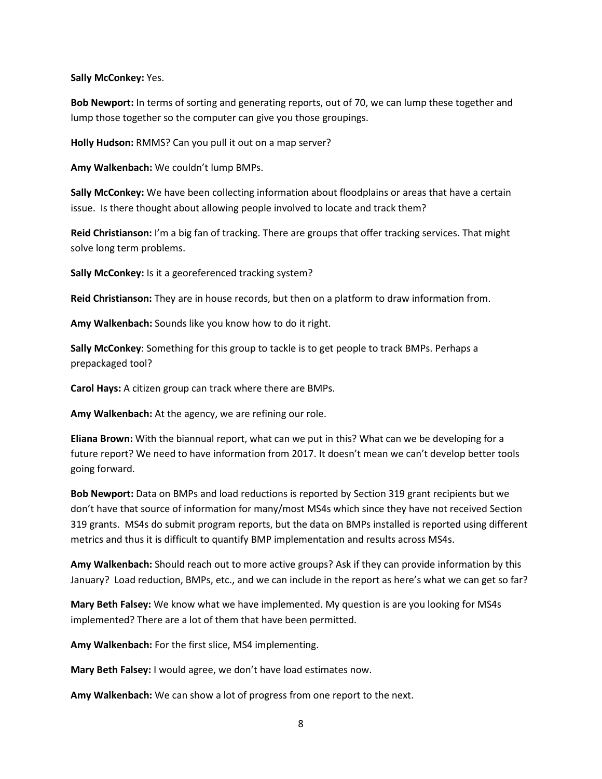**Sally McConkey:** Yes.

**Bob Newport:** In terms of sorting and generating reports, out of 70, we can lump these together and lump those together so the computer can give you those groupings.

**Holly Hudson:** RMMS? Can you pull it out on a map server?

**Amy Walkenbach:** We couldn't lump BMPs.

**Sally McConkey:** We have been collecting information about floodplains or areas that have a certain issue. Is there thought about allowing people involved to locate and track them?

**Reid Christianson:** I'm a big fan of tracking. There are groups that offer tracking services. That might solve long term problems.

**Sally McConkey:** Is it a georeferenced tracking system?

**Reid Christianson:** They are in house records, but then on a platform to draw information from.

**Amy Walkenbach:** Sounds like you know how to do it right.

**Sally McConkey**: Something for this group to tackle is to get people to track BMPs. Perhaps a prepackaged tool?

**Carol Hays:** A citizen group can track where there are BMPs.

**Amy Walkenbach:** At the agency, we are refining our role.

**Eliana Brown:** With the biannual report, what can we put in this? What can we be developing for a future report? We need to have information from 2017. It doesn't mean we can't develop better tools going forward.

**Bob Newport:** Data on BMPs and load reductions is reported by Section 319 grant recipients but we don't have that source of information for many/most MS4s which since they have not received Section 319 grants. MS4s do submit program reports, but the data on BMPs installed is reported using different metrics and thus it is difficult to quantify BMP implementation and results across MS4s.

**Amy Walkenbach:** Should reach out to more active groups? Ask if they can provide information by this January? Load reduction, BMPs, etc., and we can include in the report as here's what we can get so far?

**Mary Beth Falsey:** We know what we have implemented. My question is are you looking for MS4s implemented? There are a lot of them that have been permitted.

**Amy Walkenbach:** For the first slice, MS4 implementing.

**Mary Beth Falsey:** I would agree, we don't have load estimates now.

**Amy Walkenbach:** We can show a lot of progress from one report to the next.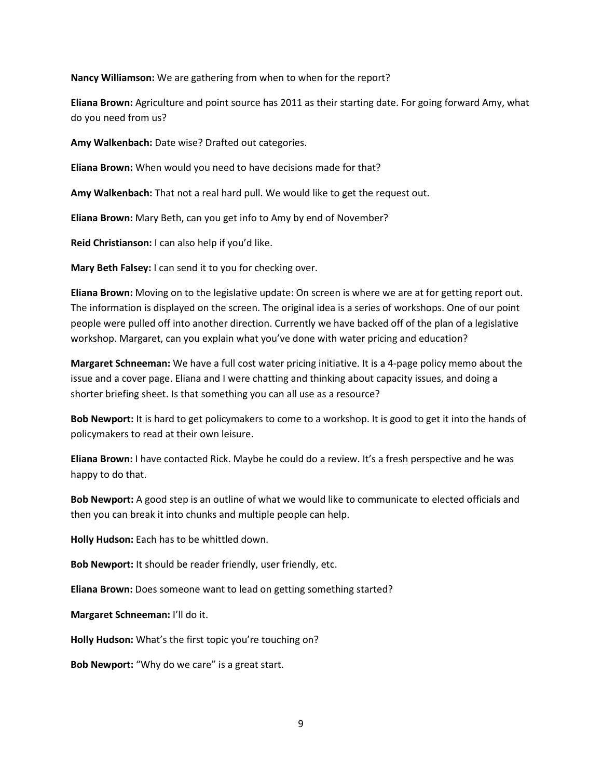**Nancy Williamson:** We are gathering from when to when for the report?

**Eliana Brown:** Agriculture and point source has 2011 as their starting date. For going forward Amy, what do you need from us?

**Amy Walkenbach:** Date wise? Drafted out categories.

**Eliana Brown:** When would you need to have decisions made for that?

**Amy Walkenbach:** That not a real hard pull. We would like to get the request out.

**Eliana Brown:** Mary Beth, can you get info to Amy by end of November?

**Reid Christianson:** I can also help if you'd like.

**Mary Beth Falsey:** I can send it to you for checking over.

**Eliana Brown:** Moving on to the legislative update: On screen is where we are at for getting report out. The information is displayed on the screen. The original idea is a series of workshops. One of our point people were pulled off into another direction. Currently we have backed off of the plan of a legislative workshop. Margaret, can you explain what you've done with water pricing and education?

**Margaret Schneeman:** We have a full cost water pricing initiative. It is a 4-page policy memo about the issue and a cover page. Eliana and I were chatting and thinking about capacity issues, and doing a shorter briefing sheet. Is that something you can all use as a resource?

**Bob Newport:** It is hard to get policymakers to come to a workshop. It is good to get it into the hands of policymakers to read at their own leisure.

**Eliana Brown:** I have contacted Rick. Maybe he could do a review. It's a fresh perspective and he was happy to do that.

**Bob Newport:** A good step is an outline of what we would like to communicate to elected officials and then you can break it into chunks and multiple people can help.

**Holly Hudson:** Each has to be whittled down.

**Bob Newport:** It should be reader friendly, user friendly, etc.

**Eliana Brown:** Does someone want to lead on getting something started?

**Margaret Schneeman:** I'll do it.

**Holly Hudson:** What's the first topic you're touching on?

**Bob Newport:** "Why do we care" is a great start.